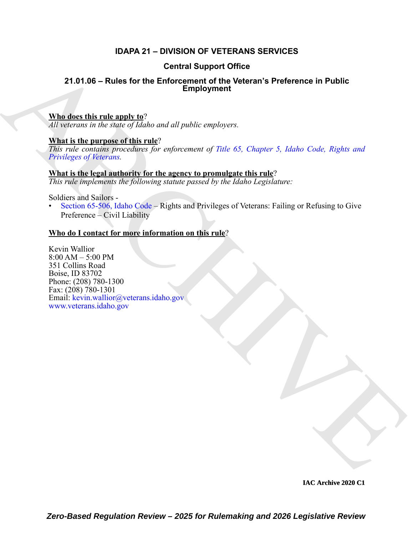### **IDAPA 21 – DIVISION OF VETERANS SERVICES**

#### **Central Support Office**

#### **21.01.06 – Rules for the Enforcement of the Veteran's Preference in Public Employment**

#### **Who does this rule apply to**?

*All veterans in the state of Idaho and all public employers.*

#### **What is the purpose of this rule**?

*This rule contains procedures for enforcement of Title 65, Chapter 5, Idaho Code, Rights and Privileges of Veterans.*

## **What is the legal authority for the agency to promulgate this rule**?

*This rule implements the following statute passed by the Idaho Legislature:*

Soldiers and Sailors -

• Section 65-506, Idaho Code – Rights and Privileges of Veterans: Failing or Refusing to Give Preference – Civil Liability

### **Who do I contact for more information on this rule**?

**Contrast Super Contrast Super Office**<br>
21.01.06 - Rules for the Enforcement of the Veteran's Preference in Public<br> [A](https://legislature.idaho.gov/statutesrules/idstat/Title65/T65CH5/)lthough the nature of *ladio and all public* employers.<br>
Although the comparison in the final region of Kevin Wallior 8:00 AM – 5:00 PM 351 Collins Road Boise, ID 83702 Phone: (208) 780-1300 Fax: (208) 780-1301 Email: kevin.wallior@veterans.idaho.gov www.veterans.idaho.gov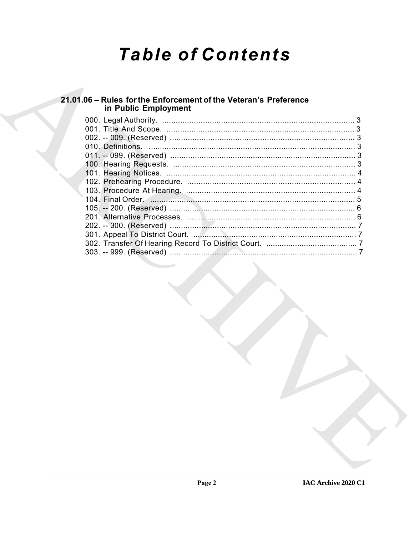# **Table of Contents**

# 21.01.06 - Rules for the Enforcement of the Veteran's Preference<br>in Public Employment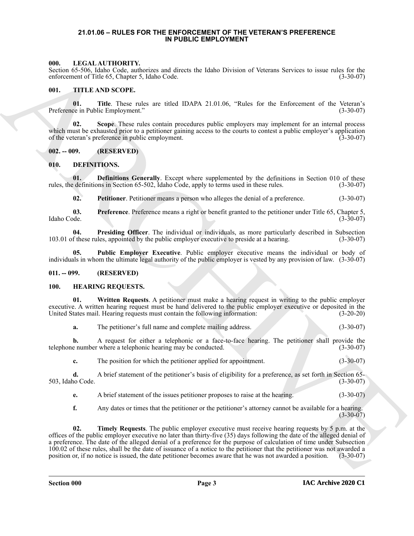#### <span id="page-2-16"></span><span id="page-2-0"></span>**21.01.06 – RULES FOR THE ENFORCEMENT OF THE VETERAN'S PREFERENCE IN PUBLIC EMPLOYMENT**

#### <span id="page-2-1"></span>**000. LEGAL AUTHORITY.**

Section 65-506, Idaho Code, authorizes and directs the Idaho Division of Veterans Services to issue rules for the enforcement of Title 65, Chapter 5, Idaho Code. (3-30-07)

#### <span id="page-2-17"></span><span id="page-2-2"></span>**001. TITLE AND SCOPE.**

**01.** Title. These rules are titled IDAPA 21.01.06, "Rules for the Enforcement of the Veteran's (3-30-07) ee in Public Employment." Preference in Public Employment."

**02. Scope**. These rules contain procedures public employers may implement for an internal process which must be exhausted prior to a petitioner gaining access to the courts to contest a public employer's application of the veteran's preference in public employment. (3-30-07)

#### <span id="page-2-3"></span>**002. -- 009. (RESERVED)**

#### <span id="page-2-7"></span><span id="page-2-4"></span>**010. DEFINITIONS.**

**01. Definitions Generally**. Except where supplemented by the definitions in Section 010 of these rules, the definitions in Section 65-502, Idaho Code, apply to terms used in these rules. (3-30-07)

<span id="page-2-11"></span><span id="page-2-10"></span><span id="page-2-9"></span><span id="page-2-8"></span>**02. Petitioner**. Petitioner means a person who alleges the denial of a preference. (3-30-07)

**03.** Preference. Preference means a right or benefit granted to the petitioner under Title 65, Chapter 5, Idaho Code. (3-30-07) Idaho Code. (3-30-07)

**04. Presiding Officer**. The individual or individuals, as more particularly described in Subsection 103.01 of these rules, appointed by the public employer executive to preside at a hearing. (3-30-07)

<span id="page-2-12"></span>**05. Public Employer Executive**. Public employer executive means the individual or body of individuals in whom the ultimate legal authority of the public employer is vested by any provision of law. (3-30-07)

#### <span id="page-2-5"></span>**011. -- 099. (RESERVED)**

#### <span id="page-2-13"></span><span id="page-2-6"></span>**100. HEARING REQUESTS.**

**01. Written Requests**. A petitioner must make a hearing request in writing to the public employer executive. A written hearing request must be hand delivered to the public employer executive or deposited in the United States mail. Hearing requests must contain the following information: (3-20-20)

<span id="page-2-15"></span>**a.** The petitioner's full name and complete mailing address. (3-30-07)

**b.** A request for either a telephonic or a face-to-face hearing. The petitioner shall provide the telephone number where a telephonic hearing may be conducted. (3-30-07)

**c.** The position for which the petitioner applied for appointment. (3-30-07)

**d.** A brief statement of the petitioner's basis of eligibility for a preference, as set forth in Section 65- 503, Idaho Code. (3-30-07)

**e.** A brief statement of the issues petitioner proposes to raise at the hearing. (3-30-07)

<span id="page-2-14"></span>**f.** Any dates or times that the petitioner or the petitioner's attorney cannot be available for a hearing.  $(3-30-07)$ 

**SEE A LACTIFICATIVE CONTRACT CONTRACT CONTRACT IS a structure of whereas Services to isometric particle and the structure of the structure of the structure of the structure of the structure of the structure of the struct Timely Requests**. The public employer executive must receive hearing requests by 5 p.m. at the offices of the public employer executive no later than thirty-five (35) days following the date of the alleged denial of a preference. The date of the alleged denial of a preference for the purpose of calculation of time under Subsection 100.02 of these rules, shall be the date of issuance of a notice to the petitioner that the petitioner was not awarded a position or, if no notice is issued, the date petitioner becomes aware that he was not awarded a position. (3-30-07)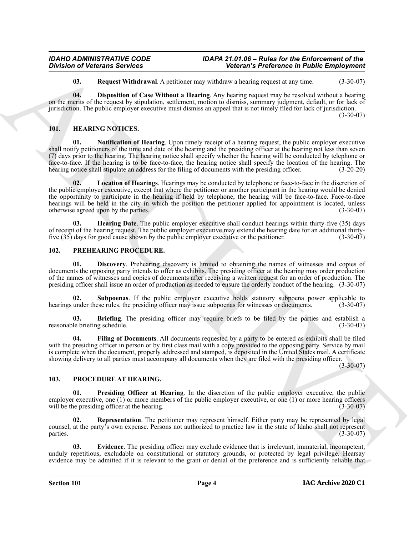<span id="page-3-8"></span><span id="page-3-7"></span>**03. Request Withdrawal**. A petitioner may withdraw a hearing request at any time. (3-30-07)

**04. Disposition of Case Without a Hearing**. Any hearing request may be resolved without a hearing on the merits of the request by stipulation, settlement, motion to dismiss, summary judgment, default, or for lack of jurisdiction. The public employer executive must dismiss an appeal that is not timely filed for lack of jurisdiction.

(3-30-07)

#### <span id="page-3-3"></span><span id="page-3-0"></span>**101. HEARING NOTICES.**

<span id="page-3-6"></span><span id="page-3-5"></span>**01. Notification of Hearing**. Upon timely receipt of a hearing request, the public employer executive shall notify petitioners of the time and date of the hearing and the presiding officer at the hearing not less than seven (7) days prior to the hearing. The hearing notice shall specify whether the hearing will be conducted by telephone or face-to-face. If the hearing is to be face-to-face, the hearing notice shall specify the location of the hearing. The hearing notice shall stipulate an address for the filing of documents with the presiding officer. (3-20-20)

**Solution of Vietners Services**<br> **Archives** and **Register Windows Convertises**<br> **ARCHIVES CONSULTS AND ARCHIVES CONSULTS AND CONSULTS AND CONSULTS AND CONSULTS AND CONSULTS AND CONSULTS AND CONSULTS AND CONSULTS AND CONSU 02. Location of Hearings**. Hearings may be conducted by telephone or face-to-face in the discretion of the public employer executive, except that where the petitioner or another participant in the hearing would be denied the opportunity to participate in the hearing if held by telephone, the hearing will be face-to-face. Face-to-face hearings will be held in the city in which the position the petitioner applied for appointment is located, unless otherwise agreed upon by the parties. (3-30-07)

<span id="page-3-4"></span>**03. Hearing Date**. The public employer executive shall conduct hearings within thirty-five (35) days of receipt of the hearing request. The public employer executive may extend the hearing date for an additional thirtyfive (35) days for good cause shown by the public employer executive or the petitioner. (3-30-07)

#### <span id="page-3-9"></span><span id="page-3-1"></span>**102. PREHEARING PROCEDURE.**

<span id="page-3-11"></span>**01. Discovery**. Prehearing discovery is limited to obtaining the names of witnesses and copies of documents the opposing party intends to offer as exhibits. The presiding officer at the hearing may order production of the names of witnesses and copies of documents after receiving a written request for an order of production. The presiding officer shall issue an order of production as needed to ensure the orderly conduct of the hearing. (3-30-07)

<span id="page-3-13"></span>**Subpoenas.** If the public employer executive holds statutory subpoena power applicable to hearings under these rules, the presiding officer may issue subpoenas for witnesses or documents. (3-30-07)

<span id="page-3-10"></span>**03. Briefing**. The presiding officer may require briefs to be filed by the parties and establish a le briefing schedule. (3-30-07) reasonable briefing schedule.

<span id="page-3-12"></span>**04. Filing of Documents**. All documents requested by a party to be entered as exhibits shall be filed with the presiding officer in person or by first class mail with a copy provided to the opposing party. Service by mail is complete when the document, properly addressed and stamped, is deposited in the United States mail. A certificate showing delivery to all parties must accompany all documents when they are filed with the presiding officer.

 $(3-30-07)$ 

#### <span id="page-3-14"></span><span id="page-3-2"></span>**103. PROCEDURE AT HEARING.**

<span id="page-3-16"></span>**01. Presiding Officer at Hearing**. In the discretion of the public employer executive, the public employer executive, one (1) or more members of the public employer executive, or one (1) or more hearing officers will be the presiding officer at the hearing. (3-30-07)

<span id="page-3-17"></span>**02. Representation**. The petitioner may represent himself. Either party may be represented by legal counsel, at the party's own expense. Persons not authorized to practice law in the state of Idaho shall not represent  $parties.$  (3-30-07)

<span id="page-3-15"></span>**03. Evidence**. The presiding officer may exclude evidence that is irrelevant, immaterial, incompetent, unduly repetitious, excludable on constitutional or statutory grounds, or protected by legal privilege. Hearsay evidence may be admitted if it is relevant to the grant or denial of the preference and is sufficiently reliable that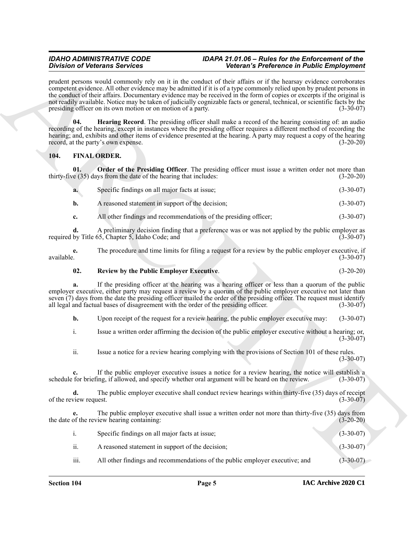#### *IDAHO ADMINISTRATIVE CODE IDAPA 21.01.06 – Rules for the Enforcement of the Division of Veterans Services Veteran's Preference in Public Employment*

#### <span id="page-4-4"></span><span id="page-4-1"></span><span id="page-4-0"></span>**104. FINAL ORDER.**

<span id="page-4-2"></span>

| a. | Specific findings on all major facts at issue;   | $(3-30-07)$ |
|----|--------------------------------------------------|-------------|
|    | A reasoned statement in support of the decision; | $(3-30-07)$ |

#### <span id="page-4-3"></span>**02. Review by the Public Employer Executive**. (3-20-20)

|                                          | <b>Division of Veterans Services</b>                                                 | Veteran's Preference in Public Employment                                                                                                                                                                                                                                                                                                                                                                                                                                                                          |             |
|------------------------------------------|--------------------------------------------------------------------------------------|--------------------------------------------------------------------------------------------------------------------------------------------------------------------------------------------------------------------------------------------------------------------------------------------------------------------------------------------------------------------------------------------------------------------------------------------------------------------------------------------------------------------|-------------|
|                                          | presiding officer on its own motion or on motion of a party.                         | prudent persons would commonly rely on it in the conduct of their affairs or if the hearsay evidence corroborates<br>competent evidence. All other evidence may be admitted if it is of a type commonly relied upon by prudent persons in<br>the conduct of their affairs. Documentary evidence may be received in the form of copies or excerpts if the original is<br>not readily available. Notice may be taken of judicially cognizable facts or general, technical, or scientific facts by the<br>$(3-30-07)$ |             |
| 04.                                      | record, at the party's own expense.                                                  | Hearing Record. The presiding officer shall make a record of the hearing consisting of: an audio<br>recording of the hearing, except in instances where the presiding officer requires a different method of recording the<br>hearing; and, exhibits and other items of evidence presented at the hearing. A party may request a copy of the hearing                                                                                                                                                               | $(3-20-20)$ |
| 104.                                     | <b>FINAL ORDER.</b>                                                                  |                                                                                                                                                                                                                                                                                                                                                                                                                                                                                                                    |             |
| 01.                                      | thirty-five (35) days from the date of the hearing that includes:                    | Order of the Presiding Officer. The presiding officer must issue a written order not more than                                                                                                                                                                                                                                                                                                                                                                                                                     | $(3-20-20)$ |
| a.                                       | Specific findings on all major facts at issue;                                       |                                                                                                                                                                                                                                                                                                                                                                                                                                                                                                                    | $(3-30-07)$ |
| b.                                       | A reasoned statement in support of the decision;                                     |                                                                                                                                                                                                                                                                                                                                                                                                                                                                                                                    | $(3-30-07)$ |
| c.                                       |                                                                                      | All other findings and recommendations of the presiding officer;                                                                                                                                                                                                                                                                                                                                                                                                                                                   | $(3-30-07)$ |
| d.                                       | required by Title 65, Chapter 5, Idaho Code; and                                     | A preliminary decision finding that a preference was or was not applied by the public employer as                                                                                                                                                                                                                                                                                                                                                                                                                  | $(3-30-07)$ |
| e.<br>available.                         |                                                                                      | The procedure and time limits for filing a request for a review by the public employer executive, if                                                                                                                                                                                                                                                                                                                                                                                                               | $(3-30-07)$ |
| 02.                                      | <b>Review by the Public Employer Executive.</b>                                      |                                                                                                                                                                                                                                                                                                                                                                                                                                                                                                                    | $(3-20-20)$ |
|                                          | all legal and factual bases of disagreement with the order of the presiding officer. | If the presiding officer at the hearing was a hearing officer or less than a quorum of the public<br>employer executive, either party may request a review by a quorum of the public employer executive not later than<br>seven (7) days from the date the presiding officer mailed the order of the presiding officer. The request must identify                                                                                                                                                                  | $(3-30-07)$ |
| b.                                       |                                                                                      | Upon receipt of the request for a review hearing, the public employer executive may:                                                                                                                                                                                                                                                                                                                                                                                                                               | $(3-30-07)$ |
| i.                                       |                                                                                      | Issue a written order affirming the decision of the public employer executive without a hearing; or,                                                                                                                                                                                                                                                                                                                                                                                                               | $(3-30-07)$ |
| ii.                                      |                                                                                      | Issue a notice for a review hearing complying with the provisions of Section 101 of these rules.                                                                                                                                                                                                                                                                                                                                                                                                                   | $(3-30-07)$ |
| $c_{\cdot}$                              |                                                                                      | If the public employer executive issues a notice for a review hearing, the notice will establish a<br>schedule for briefing, if allowed, and specify whether oral argument will be heard on the review.                                                                                                                                                                                                                                                                                                            | $(3-30-07)$ |
| $\mathbf{d}$ .<br>of the review request. |                                                                                      | The public employer executive shall conduct review hearings within thirty-five (35) days of receipt                                                                                                                                                                                                                                                                                                                                                                                                                | $(3-30-07)$ |
| e.                                       | the date of the review hearing containing:                                           | The public employer executive shall issue a written order not more than thirty-five (35) days from                                                                                                                                                                                                                                                                                                                                                                                                                 | $(3-20-20)$ |
| i.                                       | Specific findings on all major facts at issue;                                       |                                                                                                                                                                                                                                                                                                                                                                                                                                                                                                                    | $(3-30-07)$ |
|                                          | A reasoned statement in support of the decision;                                     |                                                                                                                                                                                                                                                                                                                                                                                                                                                                                                                    | $(3-30-07)$ |
| ii.                                      |                                                                                      |                                                                                                                                                                                                                                                                                                                                                                                                                                                                                                                    |             |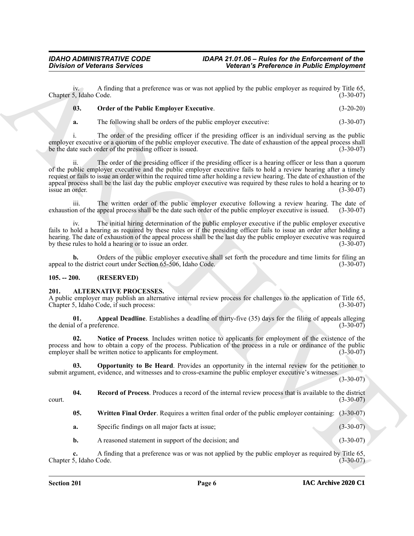iv. A finding that a preference was or was not applied by the public employer as required by Title 65, Chapter 5, Idaho Code. (3-30-07)

#### <span id="page-5-8"></span>**03. Order of the Public Employer Executive**. (3-20-20)

**a.** The following shall be orders of the public employer executive: (3-30-07)

i. The order of the presiding officer if the presiding officer is an individual serving as the public employer executive or a quorum of the public employer executive. The date of exhaustion of the appeal process shall be the date such order of the presiding officer is issued. (3-30-07)

**Solution of Vietnerse Services**<br>
Action of Vietners of Wiesler<br>
Clause 3. (and the Palace Barcel of the projection of the services of the services of the services of the services of the services of the services of the se ii. The order of the presiding officer if the presiding officer is a hearing officer or less than a quorum of the public employer executive and the public employer executive fails to hold a review hearing after a timely request or fails to issue an order within the required time after holding a review hearing. The date of exhaustion of the appeal process shall be the last day the public employer executive was required by these rules to hold a hearing or to issue an order. (3-30-07) issue an order.

iii. The written order of the public employer executive following a review hearing. The date of the public employer executive is issued. (3-30-07) exhaustion of the appeal process shall be the date such order of the public employer executive is issued.

iv. The initial hiring determination of the public employer executive if the public employer executive fails to hold a hearing as required by these rules or if the presiding officer fails to issue an order after holding a hearing. The date of exhaustion of the appeal process shall be the last day the public employer executive was required by these rules to hold a hearing or to issue an order. (3-30-07)

**b.** Orders of the public employer executive shall set forth the procedure and time limits for filing an othe district court under Section 65-506, Idaho Code. (3-30-07) appeal to the district court under Section 65-506, Idaho Code.

#### <span id="page-5-2"></span><span id="page-5-0"></span>**105. -- 200. (RESERVED)**

#### <span id="page-5-1"></span>**201. ALTERNATIVE PROCESSES.**

A public employer may publish an alternative internal review process for challenges to the application of Title 65, Chapter 5, Idaho Code, if such process: (3-30-07)

<span id="page-5-3"></span>**01. Appeal Deadline**. Establishes a deadline of thirty-five (35) days for the filing of appeals alleging the denial of a preference.

<span id="page-5-4"></span>**02. Notice of Process**. Includes written notice to applicants for employment of the existence of the process and how to obtain a copy of the process. Publication of the process in a rule or ordinance of the public employer shall be written notice to applicants for employment. (3-30-07)

<span id="page-5-5"></span>**03. Opportunity to Be Heard**. Provides an opportunity in the internal review for the petitioner to submit argument, evidence, and witnesses and to cross-examine the public employer executive's witnesses.

 $(3-30-07)$ 

**04. Record of Process**. Produces a record of the internal review process that is available to the district court. (3-30-07)

<span id="page-5-7"></span><span id="page-5-6"></span>**05. Written Final Order**. Requires a written final order of the public employer containing: (3-30-07)

**a.** Specific findings on all major facts at issue; (3-30-07)

**b.** A reasoned statement in support of the decision; and (3-30-07)

**c.** A finding that a preference was or was not applied by the public employer as required by Title 65, Chapter 5, Idaho Code. (3-30-07)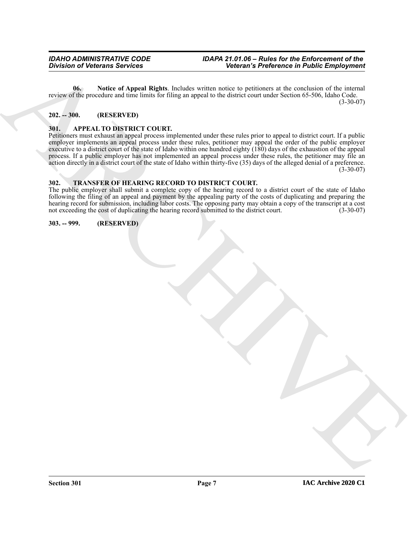<span id="page-6-4"></span>**06. Notice of Appeal Rights**. Includes written notice to petitioners at the conclusion of the internal review of the procedure and time limits for filing an appeal to the district court under Section 65-506, Idaho Code.  $(3-30-07)$ 

#### <span id="page-6-0"></span>**202. -- 300. (RESERVED)**

#### <span id="page-6-5"></span><span id="page-6-1"></span>**301. APPEAL TO DISTRICT COURT.**

 $\frac{1}{2}$  (The bottom Services)<br>  $\frac{1}{2}$  (The bottom Services)<br>  $\frac{1}{2}$  (The bottom Services)<br>  $\frac{1}{2}$  (The bottom Services)<br>  $\frac{1}{2}$  (The bottom Services)<br>  $\frac{1}{2}$  (The bottom Services)<br>  $\frac{1}{2}$  (The bottom S Petitioners must exhaust an appeal process implemented under these rules prior to appeal to district court. If a public employer implements an appeal process under these rules, petitioner may appeal the order of the public employer executive to a district court of the state of Idaho within one hundred eighty (180) days of the exhaustion of the appeal process. If a public employer has not implemented an appeal process under these rules, the petitioner may file an action directly in a district court of the state of Idaho within thirty-five (35) days of the alleged denial of a preference.  $(3-30-07)$ 

#### <span id="page-6-6"></span><span id="page-6-2"></span>**302. TRANSFER OF HEARING RECORD TO DISTRICT COURT.**

The public employer shall submit a complete copy of the hearing record to a district court of the state of Idaho following the filing of an appeal and payment by the appealing party of the costs of duplicating and preparing the hearing record for submission, including labor costs. The opposing party may obtain a copy of the transcript at a cost not exceeding the cost of duplicating the hearing record submitted to the district court. (3-30-07)

<span id="page-6-3"></span>**303. -- 999. (RESERVED)**